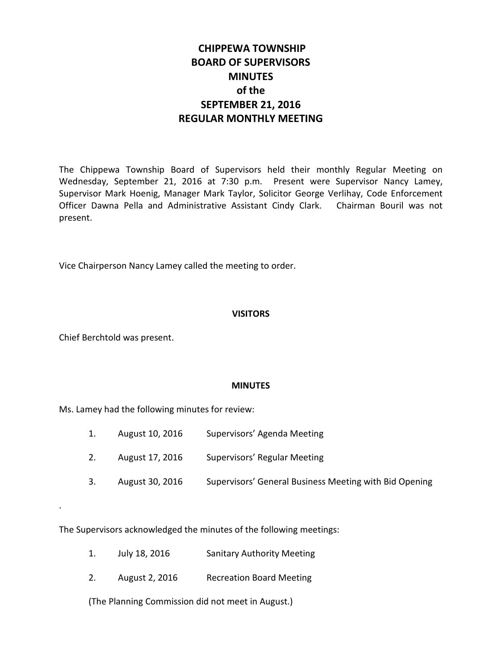# **CHIPPEWA TOWNSHIP BOARD OF SUPERVISORS MINUTES of the SEPTEMBER 21, 2016 REGULAR MONTHLY MEETING**

The Chippewa Township Board of Supervisors held their monthly Regular Meeting on Wednesday, September 21, 2016 at 7:30 p.m. Present were Supervisor Nancy Lamey, Supervisor Mark Hoenig, Manager Mark Taylor, Solicitor George Verlihay, Code Enforcement Officer Dawna Pella and Administrative Assistant Cindy Clark. Chairman Bouril was not present.

Vice Chairperson Nancy Lamey called the meeting to order.

# **VISITORS**

Chief Berchtold was present.

.

## **MINUTES**

Ms. Lamey had the following minutes for review:

- 1. August 10, 2016 Supervisors' Agenda Meeting
- 2. August 17, 2016 Supervisors' Regular Meeting
- 3. August 30, 2016 Supervisors' General Business Meeting with Bid Opening

The Supervisors acknowledged the minutes of the following meetings:

- 1. July 18, 2016 Sanitary Authority Meeting
- 2. August 2, 2016 Recreation Board Meeting

(The Planning Commission did not meet in August.)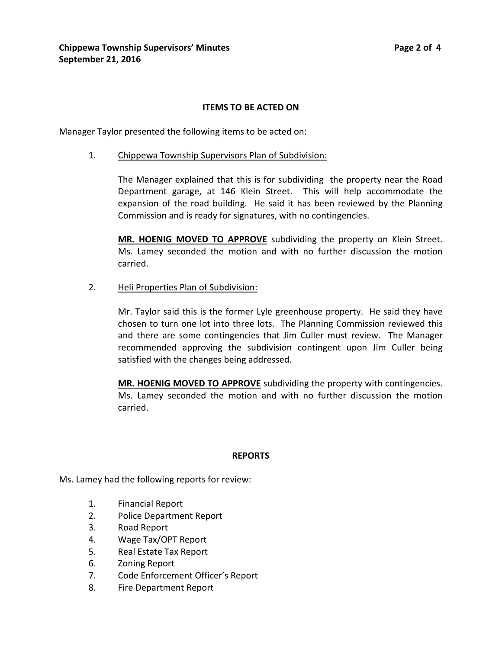## **ITEMS TO BE ACTED ON**

Manager Taylor presented the following items to be acted on:

1. Chippewa Township Supervisors Plan of Subdivision:

The Manager explained that this is for subdividing the property near the Road Department garage, at 146 Klein Street. This will help accommodate the expansion of the road building. He said it has been reviewed by the Planning Commission and is ready for signatures, with no contingencies.

**MR. HOENIG MOVED TO APPROVE** subdividing the property on Klein Street. Ms. Lamey seconded the motion and with no further discussion the motion carried.

2. Heli Properties Plan of Subdivision:

Mr. Taylor said this is the former Lyle greenhouse property. He said they have chosen to turn one lot into three lots. The Planning Commission reviewed this and there are some contingencies that Jim Culler must review. The Manager recommended approving the subdivision contingent upon Jim Culler being satisfied with the changes being addressed.

**MR. HOENIG MOVED TO APPROVE** subdividing the property with contingencies. Ms. Lamey seconded the motion and with no further discussion the motion carried.

## **REPORTS**

Ms. Lamey had the following reports for review:

- 1. Financial Report
- 2. Police Department Report
- 3. Road Report
- 4. Wage Tax/OPT Report
- 5. Real Estate Tax Report
- 6. Zoning Report
- 7. Code Enforcement Officer's Report
- 8. Fire Department Report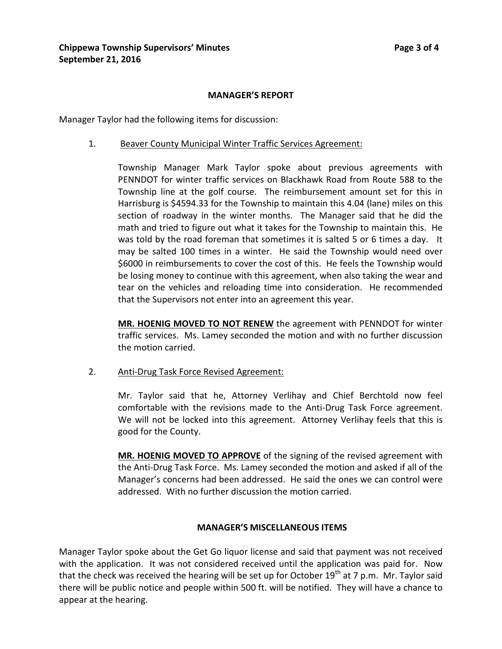#### **MANAGER'S REPORT**

Manager Taylor had the following items for discussion:

1. Beaver County Municipal Winter Traffic Services Agreement:

Township Manager Mark Taylor spoke about previous agreements with PENNDOT for winter traffic services on Blackhawk Road from Route 588 to the Township line at the golf course. The reimbursement amount set for this in Harrisburg is \$4594.33 for the Township to maintain this 4.04 (lane) miles on this section of roadway in the winter months. The Manager said that he did the math and tried to figure out what it takes for the Township to maintain this. He was told by the road foreman that sometimes it is salted 5 or 6 times a day. It may be salted 100 times in a winter. He said the Township would need over \$6000 in reimbursements to cover the cost of this. He feels the Township would be losing money to continue with this agreement, when also taking the wear and tear on the vehicles and reloading time into consideration. He recommended that the Supervisors not enter into an agreement this year.

**MR. HOENIG MOVED TO NOT RENEW** the agreement with PENNDOT for winter traffic services. Ms. Lamey seconded the motion and with no further discussion the motion carried.

2. Anti-Drug Task Force Revised Agreement:

Mr. Taylor said that he, Attorney Verlihay and Chief Berchtold now feel comfortable with the revisions made to the Anti-Drug Task Force agreement. We will not be locked into this agreement. Attorney Verlihay feels that this is good for the County.

**MR. HOENIG MOVED TO APPROVE** of the signing of the revised agreement with the Anti-Drug Task Force. Ms. Lamey seconded the motion and asked if all of the Manager's concerns had been addressed. He said the ones we can control were addressed. With no further discussion the motion carried.

## **MANAGER'S MISCELLANEOUS ITEMS**

Manager Taylor spoke about the Get Go liquor license and said that payment was not received with the application. It was not considered received until the application was paid for. Now that the check was received the hearing will be set up for October  $19<sup>th</sup>$  at 7 p.m. Mr. Taylor said there will be public notice and people within 500 ft. will be notified. They will have a chance to appear at the hearing.